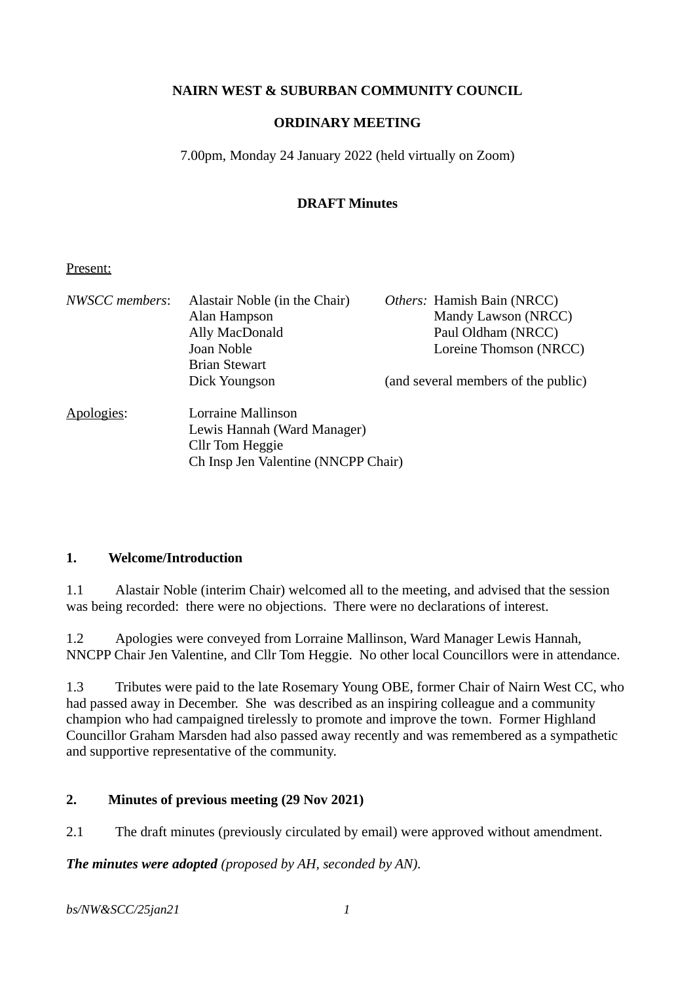## **NAIRN WEST & SUBURBAN COMMUNITY COUNCIL**

### **ORDINARY MEETING**

7.00pm, Monday 24 January 2022 (held virtually on Zoom)

## **DRAFT Minutes**

#### Present:

| NWSCC members: | Alastair Noble (in the Chair)<br>Alan Hampson<br>Ally MacDonald<br>Joan Noble<br><b>Brian Stewart</b>       | Others: Hamish Bain (NRCC)<br>Mandy Lawson (NRCC)<br>Paul Oldham (NRCC)<br>Loreine Thomson (NRCC) |
|----------------|-------------------------------------------------------------------------------------------------------------|---------------------------------------------------------------------------------------------------|
|                | Dick Youngson                                                                                               | (and several members of the public)                                                               |
| Apologies:     | Lorraine Mallinson<br>Lewis Hannah (Ward Manager)<br>Cllr Tom Heggie<br>Ch Insp Jen Valentine (NNCPP Chair) |                                                                                                   |

#### **1. Welcome/Introduction**

1.1 Alastair Noble (interim Chair) welcomed all to the meeting, and advised that the session was being recorded: there were no objections. There were no declarations of interest.

1.2 Apologies were conveyed from Lorraine Mallinson, Ward Manager Lewis Hannah, NNCPP Chair Jen Valentine, and Cllr Tom Heggie. No other local Councillors were in attendance.

1.3 Tributes were paid to the late Rosemary Young OBE, former Chair of Nairn West CC, who had passed away in December. She was described as an inspiring colleague and a community champion who had campaigned tirelessly to promote and improve the town. Former Highland Councillor Graham Marsden had also passed away recently and was remembered as a sympathetic and supportive representative of the community.

## **2. Minutes of previous meeting (29 Nov 2021)**

2.1 The draft minutes (previously circulated by email) were approved without amendment.

*The minutes were adopted (proposed by AH, seconded by AN).*

*bs/NW&SCC/25jan21 1*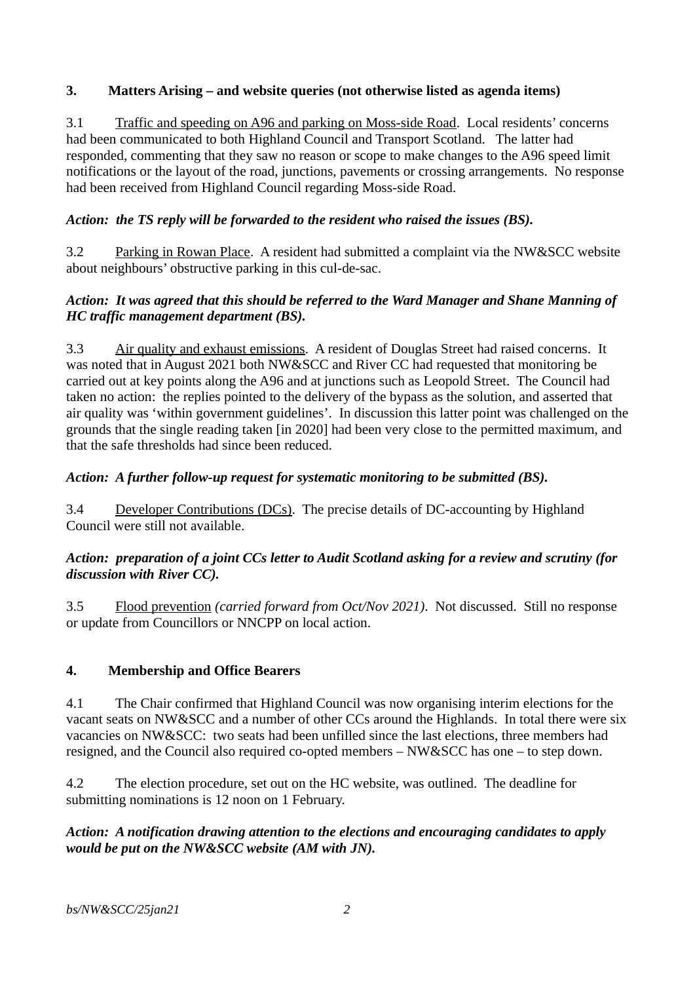## **3. Matters Arising – and website queries (not otherwise listed as agenda items)**

3.1 Traffic and speeding on A96 and parking on Moss-side Road. Local residents' concerns had been communicated to both Highland Council and Transport Scotland. The latter had responded, commenting that they saw no reason or scope to make changes to the A96 speed limit notifications or the layout of the road, junctions, pavements or crossing arrangements. No response had been received from Highland Council regarding Moss-side Road.

# *Action: the TS reply will be forwarded to the resident who raised the issues (BS).*

3.2 Parking in Rowan Place. A resident had submitted a complaint via the NW&SCC website about neighbours' obstructive parking in this cul-de-sac.

## *Action: It was agreed that this should be referred to the Ward Manager and Shane Manning of HC traffic management department (BS).*

3.3 Air quality and exhaust emissions. A resident of Douglas Street had raised concerns. It was noted that in August 2021 both NW&SCC and River CC had requested that monitoring be carried out at key points along the A96 and at junctions such as Leopold Street. The Council had taken no action: the replies pointed to the delivery of the bypass as the solution, and asserted that air quality was 'within government guidelines'. In discussion this latter point was challenged on the grounds that the single reading taken [in 2020] had been very close to the permitted maximum, and that the safe thresholds had since been reduced.

# *Action: A further follow-up request for systematic monitoring to be submitted (BS).*

3.4 Developer Contributions (DCs). The precise details of DC-accounting by Highland Council were still not available.

## *Action: preparation of a joint CCs letter to Audit Scotland asking for a review and scrutiny (for discussion with River CC).*

3.5 Flood prevention *(carried forward from Oct/Nov 2021)*. Not discussed. Still no response or update from Councillors or NNCPP on local action.

## **4. Membership and Office Bearers**

4.1 The Chair confirmed that Highland Council was now organising interim elections for the vacant seats on NW&SCC and a number of other CCs around the Highlands. In total there were six vacancies on NW&SCC: two seats had been unfilled since the last elections, three members had resigned, and the Council also required co-opted members – NW&SCC has one – to step down.

4.2 The election procedure, set out on the HC website, was outlined. The deadline for submitting nominations is 12 noon on 1 February.

## *Action: A notification drawing attention to the elections and encouraging candidates to apply would be put on the NW&SCC website (AM with JN).*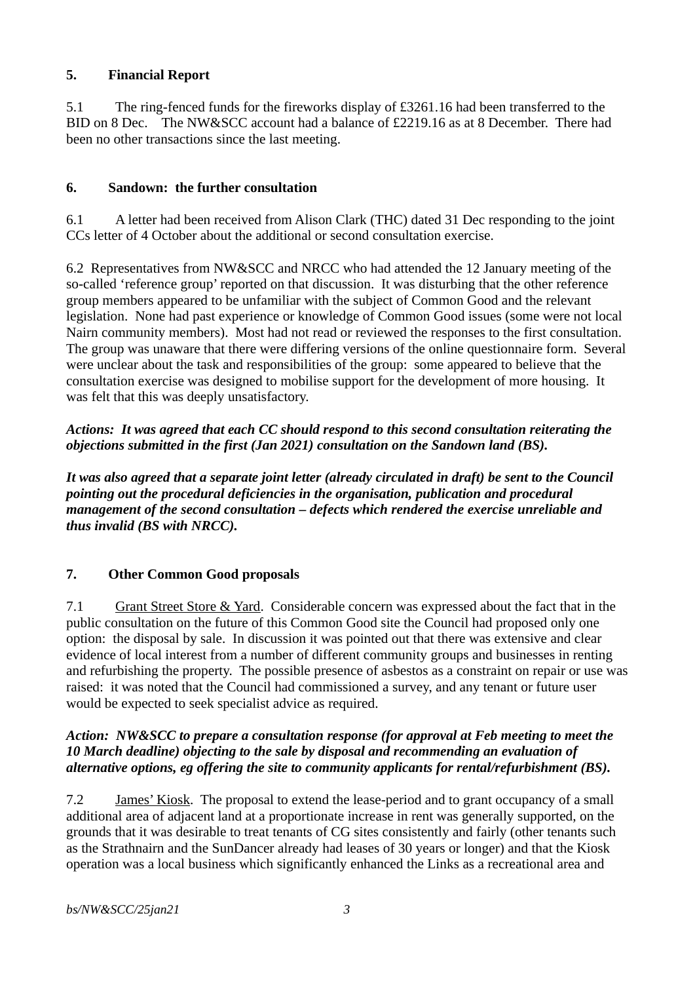## **5. Financial Report**

5.1 The ring-fenced funds for the fireworks display of £3261.16 had been transferred to the BID on 8 Dec. The NW&SCC account had a balance of £2219.16 as at 8 December. There had been no other transactions since the last meeting.

## **6. Sandown: the further consultation**

6.1 A letter had been received from Alison Clark (THC) dated 31 Dec responding to the joint CCs letter of 4 October about the additional or second consultation exercise.

6.2 Representatives from NW&SCC and NRCC who had attended the 12 January meeting of the so-called 'reference group' reported on that discussion. It was disturbing that the other reference group members appeared to be unfamiliar with the subject of Common Good and the relevant legislation. None had past experience or knowledge of Common Good issues (some were not local Nairn community members). Most had not read or reviewed the responses to the first consultation. The group was unaware that there were differing versions of the online questionnaire form. Several were unclear about the task and responsibilities of the group: some appeared to believe that the consultation exercise was designed to mobilise support for the development of more housing. It was felt that this was deeply unsatisfactory.

*Actions: It was agreed that each CC should respond to this second consultation reiterating the objections submitted in the first (Jan 2021) consultation on the Sandown land (BS).*

*It was also agreed that a separate joint letter (already circulated in draft) be sent to the Council pointing out the procedural deficiencies in the organisation, publication and procedural management of the second consultation – defects which rendered the exercise unreliable and thus invalid (BS with NRCC).*

## **7. Other Common Good proposals**

7.1 Grant Street Store & Yard. Considerable concern was expressed about the fact that in the public consultation on the future of this Common Good site the Council had proposed only one option: the disposal by sale. In discussion it was pointed out that there was extensive and clear evidence of local interest from a number of different community groups and businesses in renting and refurbishing the property. The possible presence of asbestos as a constraint on repair or use was raised: it was noted that the Council had commissioned a survey, and any tenant or future user would be expected to seek specialist advice as required.

#### *Action: NW&SCC to prepare a consultation response (for approval at Feb meeting to meet the 10 March deadline) objecting to the sale by disposal and recommending an evaluation of alternative options, eg offering the site to community applicants for rental/refurbishment (BS).*

7.2 James' Kiosk. The proposal to extend the lease-period and to grant occupancy of a small additional area of adjacent land at a proportionate increase in rent was generally supported, on the grounds that it was desirable to treat tenants of CG sites consistently and fairly (other tenants such as the Strathnairn and the SunDancer already had leases of 30 years or longer) and that the Kiosk operation was a local business which significantly enhanced the Links as a recreational area and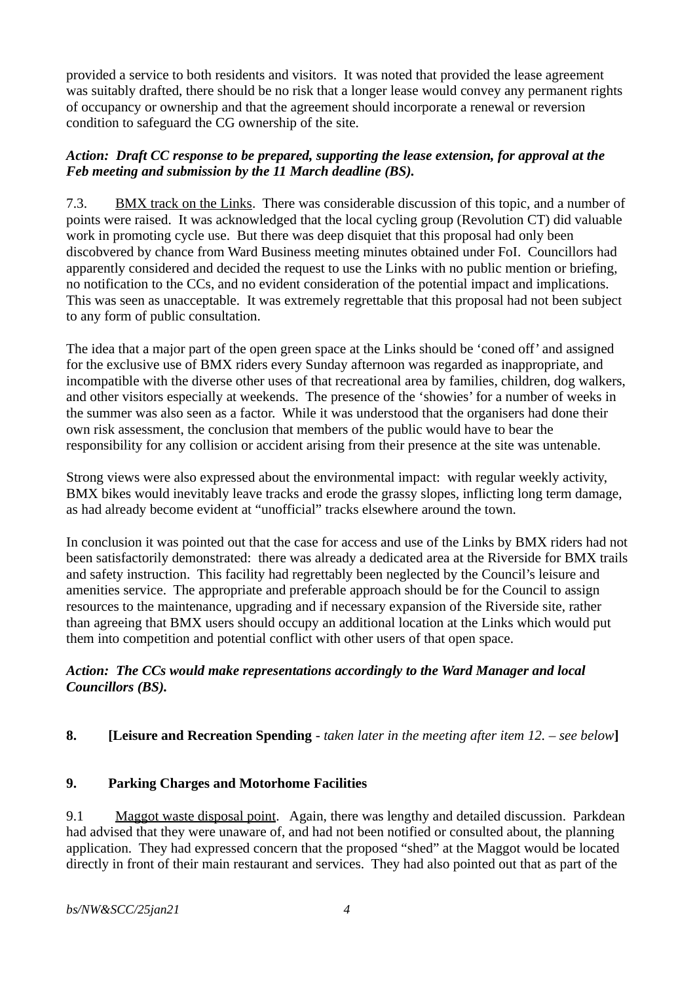provided a service to both residents and visitors. It was noted that provided the lease agreement was suitably drafted, there should be no risk that a longer lease would convey any permanent rights of occupancy or ownership and that the agreement should incorporate a renewal or reversion condition to safeguard the CG ownership of the site.

#### *Action: Draft CC response to be prepared, supporting the lease extension, for approval at the Feb meeting and submission by the 11 March deadline (BS).*

7.3. BMX track on the Links. There was considerable discussion of this topic, and a number of points were raised. It was acknowledged that the local cycling group (Revolution CT) did valuable work in promoting cycle use. But there was deep disquiet that this proposal had only been discobvered by chance from Ward Business meeting minutes obtained under FoI. Councillors had apparently considered and decided the request to use the Links with no public mention or briefing, no notification to the CCs, and no evident consideration of the potential impact and implications. This was seen as unacceptable. It was extremely regrettable that this proposal had not been subject to any form of public consultation.

The idea that a major part of the open green space at the Links should be 'coned off' and assigned for the exclusive use of BMX riders every Sunday afternoon was regarded as inappropriate, and incompatible with the diverse other uses of that recreational area by families, children, dog walkers, and other visitors especially at weekends. The presence of the 'showies' for a number of weeks in the summer was also seen as a factor. While it was understood that the organisers had done their own risk assessment, the conclusion that members of the public would have to bear the responsibility for any collision or accident arising from their presence at the site was untenable.

Strong views were also expressed about the environmental impact: with regular weekly activity, BMX bikes would inevitably leave tracks and erode the grassy slopes, inflicting long term damage, as had already become evident at "unofficial" tracks elsewhere around the town.

In conclusion it was pointed out that the case for access and use of the Links by BMX riders had not been satisfactorily demonstrated: there was already a dedicated area at the Riverside for BMX trails and safety instruction. This facility had regrettably been neglected by the Council's leisure and amenities service. The appropriate and preferable approach should be for the Council to assign resources to the maintenance, upgrading and if necessary expansion of the Riverside site, rather than agreeing that BMX users should occupy an additional location at the Links which would put them into competition and potential conflict with other users of that open space.

## *Action: The CCs would make representations accordingly to the Ward Manager and local Councillors (BS).*

## **8. [Leisure and Recreation Spending** *- taken later in the meeting after item 12. – see below***]**

## **9. Parking Charges and Motorhome Facilities**

9.1 Maggot waste disposal point. Again, there was lengthy and detailed discussion. Parkdean had advised that they were unaware of, and had not been notified or consulted about, the planning application. They had expressed concern that the proposed "shed" at the Maggot would be located directly in front of their main restaurant and services. They had also pointed out that as part of the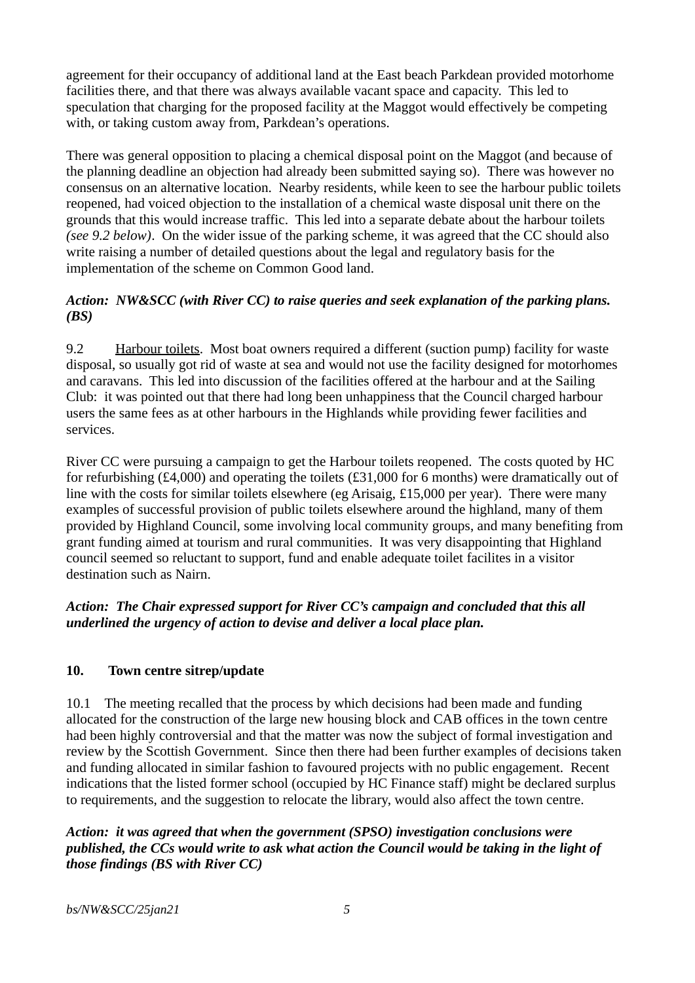agreement for their occupancy of additional land at the East beach Parkdean provided motorhome facilities there, and that there was always available vacant space and capacity. This led to speculation that charging for the proposed facility at the Maggot would effectively be competing with, or taking custom away from, Parkdean's operations.

There was general opposition to placing a chemical disposal point on the Maggot (and because of the planning deadline an objection had already been submitted saying so). There was however no consensus on an alternative location. Nearby residents, while keen to see the harbour public toilets reopened, had voiced objection to the installation of a chemical waste disposal unit there on the grounds that this would increase traffic. This led into a separate debate about the harbour toilets *(see 9.2 below)*. On the wider issue of the parking scheme, it was agreed that the CC should also write raising a number of detailed questions about the legal and regulatory basis for the implementation of the scheme on Common Good land.

## *Action: NW&SCC (with River CC) to raise queries and seek explanation of the parking plans. (BS)*

9.2 Harbour toilets. Most boat owners required a different (suction pump) facility for waste disposal, so usually got rid of waste at sea and would not use the facility designed for motorhomes and caravans. This led into discussion of the facilities offered at the harbour and at the Sailing Club: it was pointed out that there had long been unhappiness that the Council charged harbour users the same fees as at other harbours in the Highlands while providing fewer facilities and services.

River CC were pursuing a campaign to get the Harbour toilets reopened. The costs quoted by HC for refurbishing (£4,000) and operating the toilets (£31,000 for 6 months) were dramatically out of line with the costs for similar toilets elsewhere (eg Arisaig, £15,000 per year). There were many examples of successful provision of public toilets elsewhere around the highland, many of them provided by Highland Council, some involving local community groups, and many benefiting from grant funding aimed at tourism and rural communities. It was very disappointing that Highland council seemed so reluctant to support, fund and enable adequate toilet facilites in a visitor destination such as Nairn.

## *Action: The Chair expressed support for River CC's campaign and concluded that this all underlined the urgency of action to devise and deliver a local place plan.*

## **10. Town centre sitrep/update**

10.1 The meeting recalled that the process by which decisions had been made and funding allocated for the construction of the large new housing block and CAB offices in the town centre had been highly controversial and that the matter was now the subject of formal investigation and review by the Scottish Government. Since then there had been further examples of decisions taken and funding allocated in similar fashion to favoured projects with no public engagement. Recent indications that the listed former school (occupied by HC Finance staff) might be declared surplus to requirements, and the suggestion to relocate the library, would also affect the town centre.

## *Action: it was agreed that when the government (SPSO) investigation conclusions were published, the CCs would write to ask what action the Council would be taking in the light of those findings (BS with River CC)*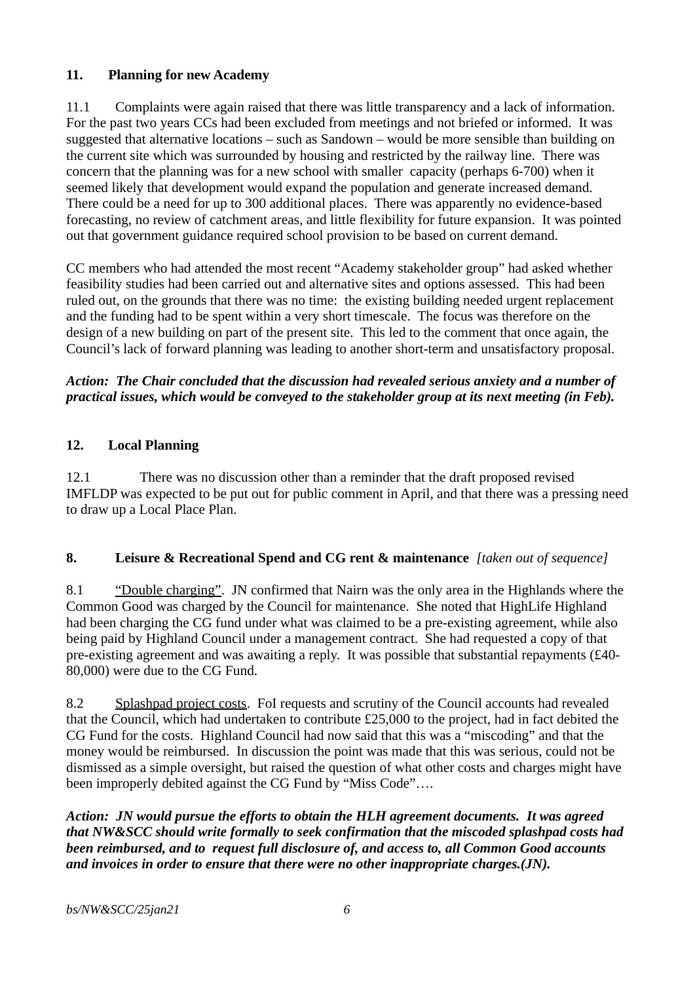## **11. Planning for new Academy**

11.1 Complaints were again raised that there was little transparency and a lack of information. For the past two years CCs had been excluded from meetings and not briefed or informed. It was suggested that alternative locations – such as Sandown – would be more sensible than building on the current site which was surrounded by housing and restricted by the railway line. There was concern that the planning was for a new school with smaller capacity (perhaps 6-700) when it seemed likely that development would expand the population and generate increased demand. There could be a need for up to 300 additional places. There was apparently no evidence-based forecasting, no review of catchment areas, and little flexibility for future expansion. It was pointed out that government guidance required school provision to be based on current demand.

CC members who had attended the most recent "Academy stakeholder group" had asked whether feasibility studies had been carried out and alternative sites and options assessed. This had been ruled out, on the grounds that there was no time: the existing building needed urgent replacement and the funding had to be spent within a very short timescale. The focus was therefore on the design of a new building on part of the present site. This led to the comment that once again, the Council's lack of forward planning was leading to another short-term and unsatisfactory proposal.

## *Action: The Chair concluded that the discussion had revealed serious anxiety and a number of practical issues, which would be conveyed to the stakeholder group at its next meeting (in Feb).*

## **12. Local Planning**

12.1 There was no discussion other than a reminder that the draft proposed revised IMFLDP was expected to be put out for public comment in April, and that there was a pressing need to draw up a Local Place Plan.

#### **8. Leisure & Recreational Spend and CG rent & maintenance** *[taken out of sequence]*

8.1 "Double charging". JN confirmed that Nairn was the only area in the Highlands where the Common Good was charged by the Council for maintenance. She noted that HighLife Highland had been charging the CG fund under what was claimed to be a pre-existing agreement, while also being paid by Highland Council under a management contract. She had requested a copy of that pre-existing agreement and was awaiting a reply. It was possible that substantial repayments (£40- 80,000) were due to the CG Fund.

8.2 Splashpad project costs. FoI requests and scrutiny of the Council accounts had revealed that the Council, which had undertaken to contribute £25,000 to the project, had in fact debited the CG Fund for the costs. Highland Council had now said that this was a "miscoding" and that the money would be reimbursed. In discussion the point was made that this was serious, could not be dismissed as a simple oversight, but raised the question of what other costs and charges might have been improperly debited against the CG Fund by "Miss Code"….

*Action: JN would pursue the efforts to obtain the HLH agreement documents. It was agreed that NW&SCC should write formally to seek confirmation that the miscoded splashpad costs had been reimbursed, and to request full disclosure of, and access to, all Common Good accounts and invoices in order to ensure that there were no other inappropriate charges.(JN).*